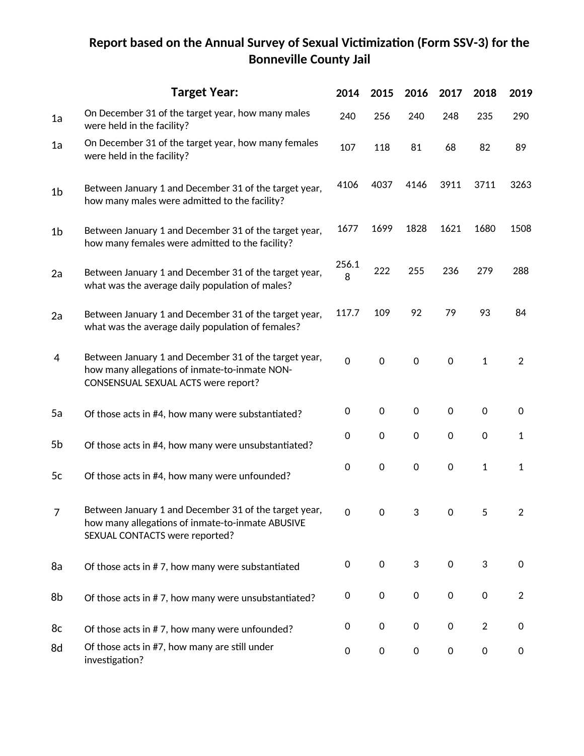## **Report based on the Annual Survey of Sexual Victimization (Form SSV-3) for the Bonneville County Jail**

|                | <b>Target Year:</b>                                                                                                                           | 2014        | 2015                | 2016        | 2017                | 2018                | 2019           |
|----------------|-----------------------------------------------------------------------------------------------------------------------------------------------|-------------|---------------------|-------------|---------------------|---------------------|----------------|
| 1a             | On December 31 of the target year, how many males<br>were held in the facility?                                                               | 240         | 256                 | 240         | 248                 | 235                 | 290            |
| 1a             | On December 31 of the target year, how many females<br>were held in the facility?                                                             | 107         | 118                 | 81          | 68                  | 82                  | 89             |
| 1 <sub>b</sub> | Between January 1 and December 31 of the target year,<br>how many males were admitted to the facility?                                        | 4106        | 4037                | 4146        | 3911                | 3711                | 3263           |
| 1 <sub>b</sub> | Between January 1 and December 31 of the target year,<br>how many females were admitted to the facility?                                      | 1677        | 1699                | 1828        | 1621                | 1680                | 1508           |
| 2a             | Between January 1 and December 31 of the target year,<br>what was the average daily population of males?                                      | 256.1<br>8  | 222                 | 255         | 236                 | 279                 | 288            |
| 2a             | Between January 1 and December 31 of the target year,<br>what was the average daily population of females?                                    | 117.7       | 109                 | 92          | 79                  | 93                  | 84             |
| 4              | Between January 1 and December 31 of the target year,<br>how many allegations of inmate-to-inmate NON-<br>CONSENSUAL SEXUAL ACTS were report? | $\mathsf 0$ | $\mathsf 0$         | $\mathbf 0$ | 0                   | $\mathbf{1}$        | $\overline{2}$ |
| 5a             | Of those acts in #4, how many were substantiated?                                                                                             | 0           | $\mathbf 0$         | $\mathsf 0$ | 0                   | $\mathsf 0$         | 0              |
| 5b             | Of those acts in #4, how many were unsubstantiated?                                                                                           | 0           | $\mathsf 0$         | 0           | 0                   | $\mathsf 0$         | $\mathbf{1}$   |
| 5c             | Of those acts in #4, how many were unfounded?                                                                                                 | 0           | $\mathsf{O}\xspace$ | 0           | 0                   | $\mathbf{1}$        | $\mathbf{1}$   |
| $\overline{7}$ | Between January 1 and December 31 of the target year,<br>how many allegations of inmate-to-inmate ABUSIVE<br>SEXUAL CONTACTS were reported?   | 0           | 0                   |             | 0                   | 5                   |                |
| 8a             | Of those acts in #7, how many were substantiated                                                                                              | 0           | $\mathsf{O}\xspace$ | 3           | $\mathsf{O}\xspace$ | 3                   | $\mathbf 0$    |
| 8b             | Of those acts in #7, how many were unsubstantiated?                                                                                           | 0           | 0                   | $\pmb{0}$   | 0                   | $\mathsf{O}\xspace$ | $\overline{2}$ |
| 8c             | Of those acts in #7, how many were unfounded?                                                                                                 | 0           | $\mathsf{O}\xspace$ | 0           | 0                   | $\overline{2}$      | 0              |
| 8d             | Of those acts in #7, how many are still under<br>investigation?                                                                               | 0           | 0                   | 0           | 0                   | 0                   | 0              |